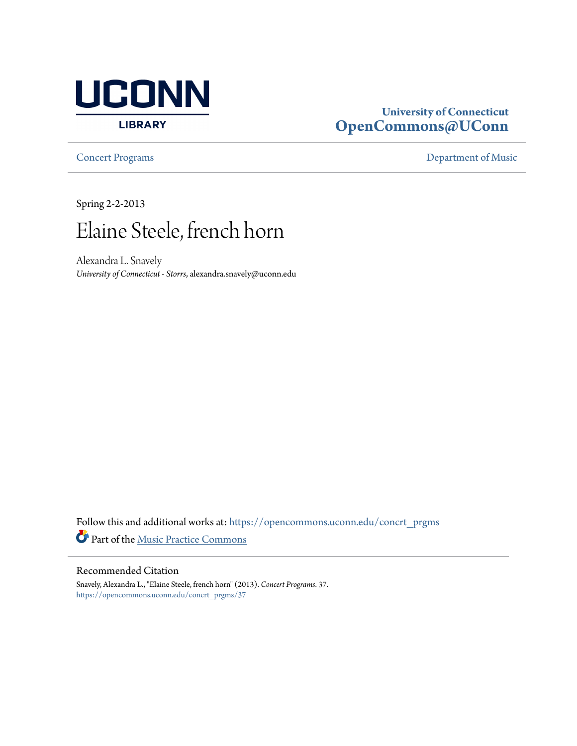

### **University of Connecticut [OpenCommons@UConn](https://opencommons.uconn.edu?utm_source=opencommons.uconn.edu%2Fconcrt_prgms%2F37&utm_medium=PDF&utm_campaign=PDFCoverPages)**

**[Concert Programs](https://opencommons.uconn.edu/concrt_prgms?utm_source=opencommons.uconn.edu%2Fconcrt_prgms%2F37&utm_medium=PDF&utm_campaign=PDFCoverPages) [Department of Music](https://opencommons.uconn.edu/music?utm_source=opencommons.uconn.edu%2Fconcrt_prgms%2F37&utm_medium=PDF&utm_campaign=PDFCoverPages)** 

Spring 2-2-2013

## Elaine Steele, french horn

Alexandra L. Snavely *University of Connecticut - Storrs*, alexandra.snavely@uconn.edu

Follow this and additional works at: [https://opencommons.uconn.edu/concrt\\_prgms](https://opencommons.uconn.edu/concrt_prgms?utm_source=opencommons.uconn.edu%2Fconcrt_prgms%2F37&utm_medium=PDF&utm_campaign=PDFCoverPages) Part of the [Music Practice Commons](http://network.bepress.com/hgg/discipline/523?utm_source=opencommons.uconn.edu%2Fconcrt_prgms%2F37&utm_medium=PDF&utm_campaign=PDFCoverPages)

#### Recommended Citation

Snavely, Alexandra L., "Elaine Steele, french horn" (2013). *Concert Programs*. 37. [https://opencommons.uconn.edu/concrt\\_prgms/37](https://opencommons.uconn.edu/concrt_prgms/37?utm_source=opencommons.uconn.edu%2Fconcrt_prgms%2F37&utm_medium=PDF&utm_campaign=PDFCoverPages)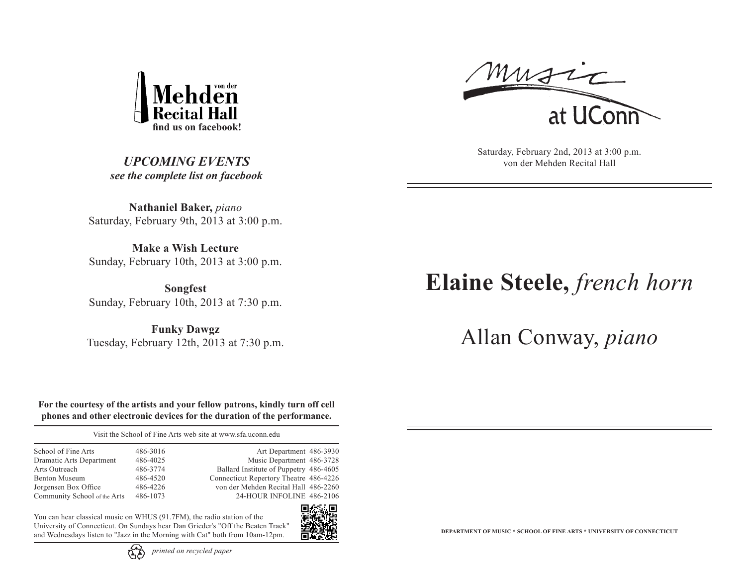

music

Saturday, February 2nd, 2013 at 3:00 p.m. von der Mehden Recital Hall

*UPCOMING EVENTS see the complete list on facebook*

**Nathaniel Baker,** *piano* Saturday, February 9th, 2013 at 3:00 p.m.

**Make a Wish Lecture** Sunday, February 10th, 2013 at 3:00 p.m.

**Songfest** Sunday, February 10th, 2013 at 7:30 p.m.

**Funky Dawgz** Tuesday, February 12th, 2013 at 7:30 p.m.

# **Elaine Steele,** *french horn*

## Allan Conway, *piano*

**For the courtesy of the artists and your fellow patrons, kindly turn off cell phones and other electronic devices for the duration of the performance.**

Visit the School of Fine Arts web site at www.sfa.uconn.edu

| School of Fine Arts          | 486-3016 |           |
|------------------------------|----------|-----------|
| Dramatic Arts Department     | 486-4025 |           |
| Arts Outreach                | 486-3774 | Ballard   |
| Benton Museum                | 486-4520 | Connectic |
| Jorgensen Box Office         | 486-4226 | von der l |
| Community School of the Arts | 486-1073 | 24        |

Art Department 486-3930 Music Department 486-3728 Institute of Puppetry 486-4605 ut Repertory Theatre 486-4226 Mehden Recital Hall 486-2260 4-HOUR INFOLINE 486-2106

You can hear classical music on WHUS (91.7FM), the radio station of the University of Connecticut. On Sundays hear Dan Grieder's "Off the Beaten Track" and Wednesdays listen to "Jazz in the Morning with Cat" both from 10am-12pm.